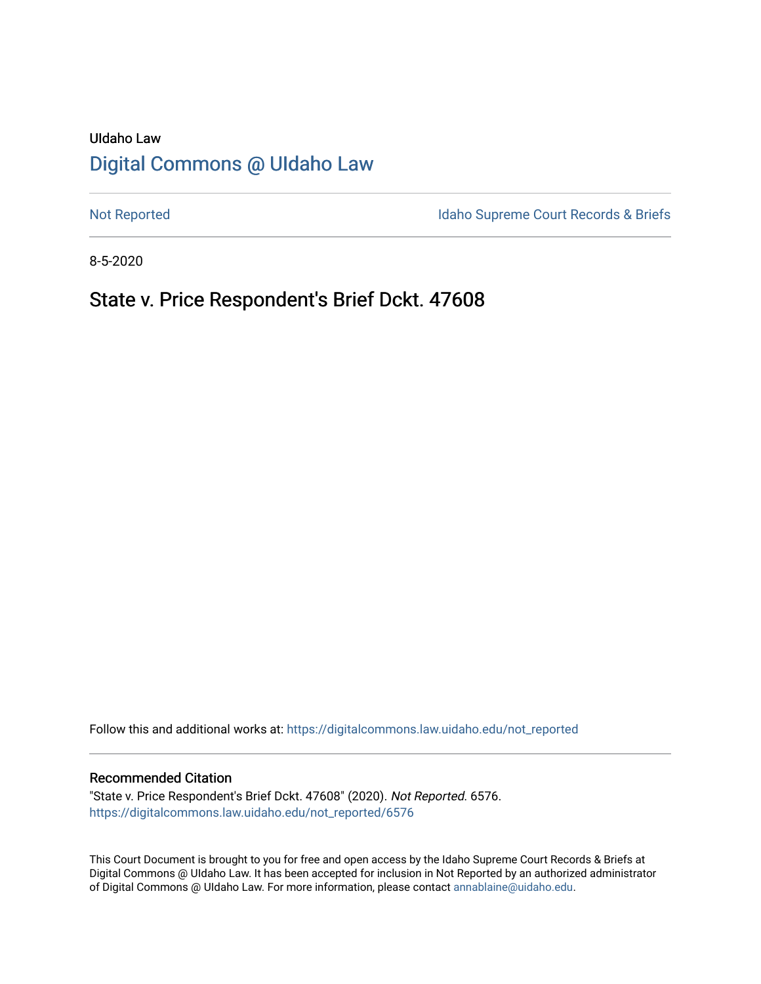# UIdaho Law [Digital Commons @ UIdaho Law](https://digitalcommons.law.uidaho.edu/)

[Not Reported](https://digitalcommons.law.uidaho.edu/not_reported) **Idaho Supreme Court Records & Briefs** 

8-5-2020

# State v. Price Respondent's Brief Dckt. 47608

Follow this and additional works at: [https://digitalcommons.law.uidaho.edu/not\\_reported](https://digitalcommons.law.uidaho.edu/not_reported?utm_source=digitalcommons.law.uidaho.edu%2Fnot_reported%2F6576&utm_medium=PDF&utm_campaign=PDFCoverPages) 

#### Recommended Citation

"State v. Price Respondent's Brief Dckt. 47608" (2020). Not Reported. 6576. [https://digitalcommons.law.uidaho.edu/not\\_reported/6576](https://digitalcommons.law.uidaho.edu/not_reported/6576?utm_source=digitalcommons.law.uidaho.edu%2Fnot_reported%2F6576&utm_medium=PDF&utm_campaign=PDFCoverPages)

This Court Document is brought to you for free and open access by the Idaho Supreme Court Records & Briefs at Digital Commons @ UIdaho Law. It has been accepted for inclusion in Not Reported by an authorized administrator of Digital Commons @ UIdaho Law. For more information, please contact [annablaine@uidaho.edu](mailto:annablaine@uidaho.edu).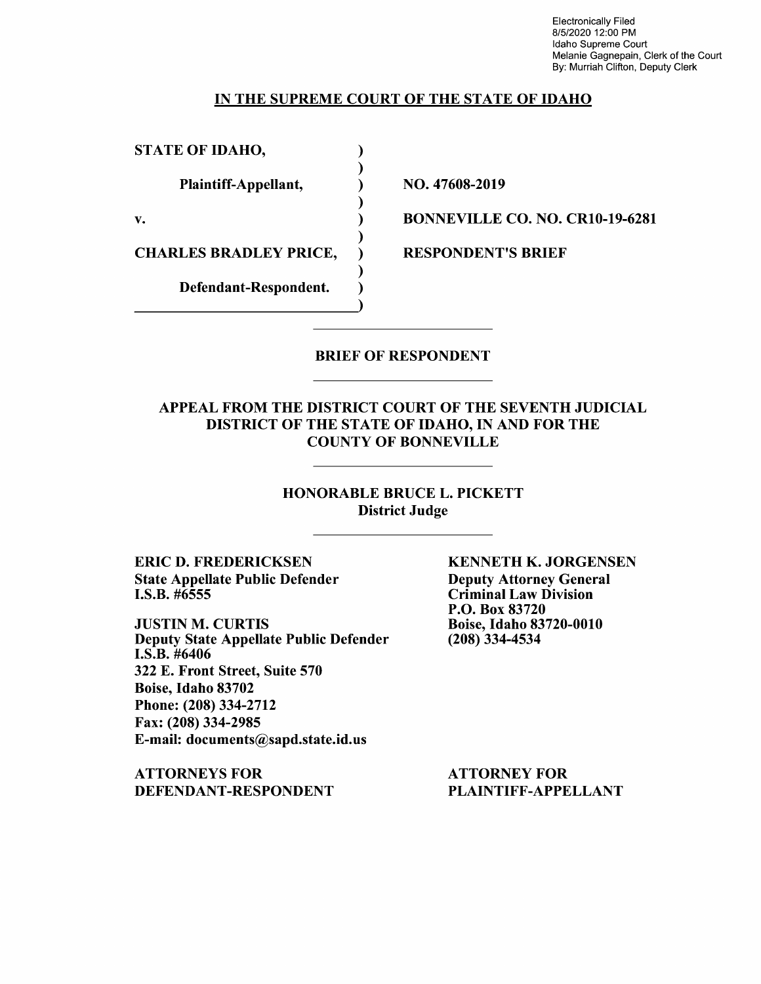Electronically Filed 8/5/2020 12:00 PM Idaho Supreme Court Melanie Gagnepain, Clerk of the Court By: Murriah Clifton, Deputy Clerk

### IN THE SUPREME COURT OF THE STATE OF IDAHO

)

)

)

)

STATE OF IDAHO,

Plaintiff-Appellant, (a)

 $\mathbf{v.}$  )

CHARLES BRADLEY PRICE,

Defendant-Respondent. )

NO. 47608-2019

BONNEVILLE CO. NO. CR10-19-6281

RESPONDENT'S BRIEF

## BRIEF OF RESPONDENT

## APPEAL FROM THE DISTRICT COURT OF THE SEVENTH JUDICIAL DISTRICT OF THE STATE OF IDAHO, IN AND FOR THE COUNTY OF BONNEVILLE

HONORABLE BRUCE L. PICKETT District Judge

ERIC D. FREDERICKSEN State Appellate Public Defender I.S.B. #6555

JUSTIN M. CURTIS Deputy State Appellate Public Defender **I.S.B.** #6406 322 E. Front Street, Suite 570 Boise, Idaho 83702 Phone:(208)334-2712 Fax: (208) 334-2985 E-mail: documents@sapd.state.id.us

ATTORNEYS FOR DEFENDANT-RESPONDENT KENNETH K. JORGENSEN Deputy Attorney General Criminal Law Division P.O. Box 83720 Boise, Idaho 83720-0010 (208) 334-4534

ATTORNEY FOR PLAINTIFF-APPELLANT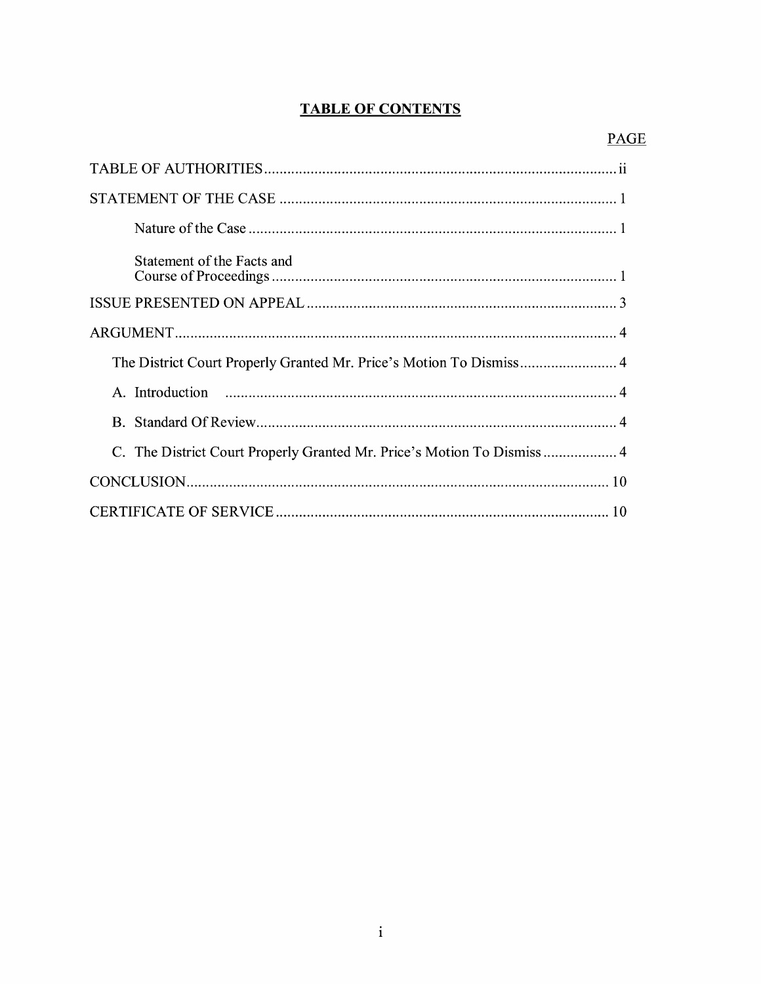# **TABLE OF CONTENTS**

| Statement of the Facts and                                              |
|-------------------------------------------------------------------------|
|                                                                         |
|                                                                         |
| The District Court Properly Granted Mr. Price's Motion To Dismiss 4     |
|                                                                         |
|                                                                         |
| C. The District Court Properly Granted Mr. Price's Motion To Dismiss  4 |
|                                                                         |
|                                                                         |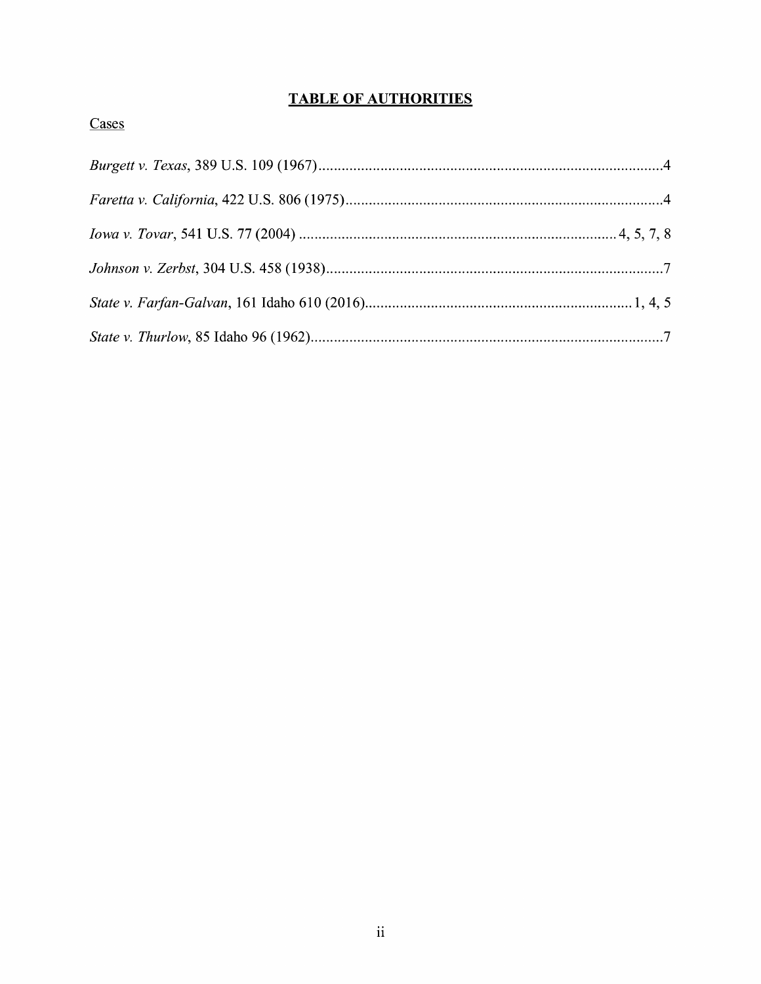# **TABLE OF AUTHORITIES**

# Cases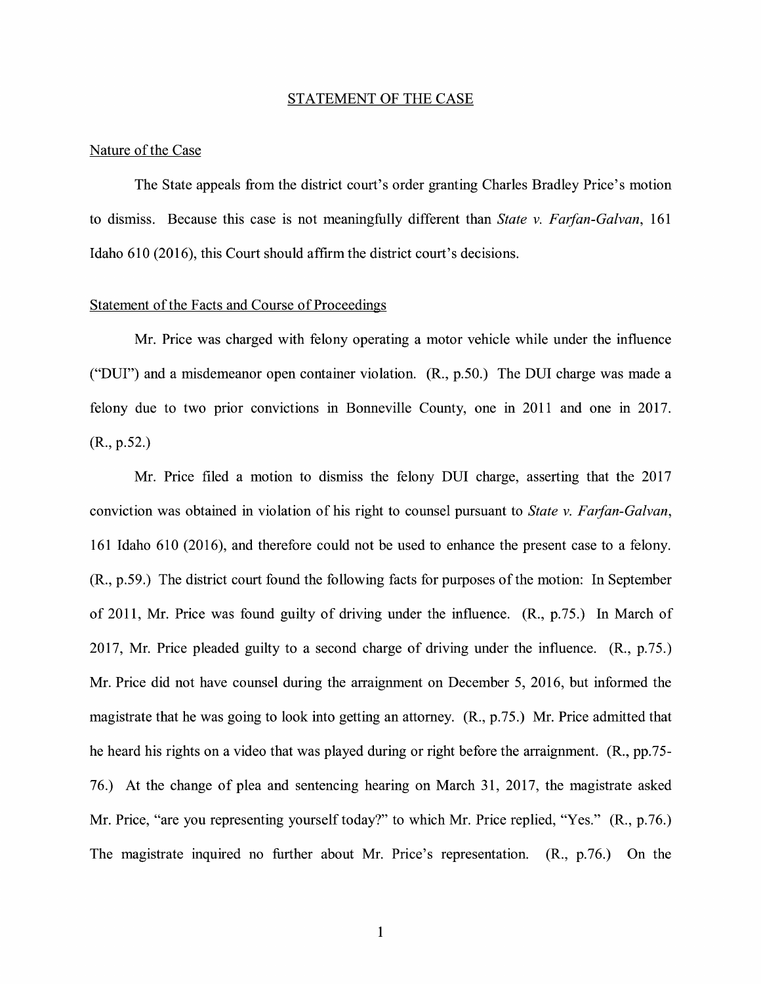#### STATEMENT OF THE CASE

#### Nature of the Case

The State appeals from the district court's order granting Charles Bradley Price's motion to dismiss. Because this case is not meaningfully different than *State v. Farfan-Galvan*, 161 Idaho 610 (2016), this Court should affirm the district court's decisions.

#### Statement of the Facts and Course of Proceedings

Mr. Price was charged with felony operating a motor vehicle while under the influence ("DUI") and a misdemeanor open container violation. (R., p.50.) The DUI charge was made a felony due to two prior convictions in Bonneville County, one in 2011 and one in 2017. (R., p.52.)

Mr. Price filed a motion to dismiss the felony DUI charge, asserting that the 2017 conviction was obtained in violation of his right to counsel pursuant to *State v. Faifan-Galvan,*  161 Idaho 610 (2016), and therefore could not be used to enhance the present case to a felony. (R., p.59.) The district court found the following facts for purposes of the motion: In September of 2011, Mr. Price was found guilty of driving under the influence. (R., p.75.) In March of 2017, Mr. Price pleaded guilty to a second charge of driving under the influence. (R., p.75.) Mr. Price did not have counsel during the arraignment on December 5, 2016, but informed the magistrate that he was going to look into getting an attorney. (R., p.75.) Mr. Price admitted that he heard his rights on a video that was played during or right before the arraignment. (R., pp.75- 76.) At the change of plea and sentencing hearing on March 31, 2017, the magistrate asked Mr. Price, "are you representing yourself today?" to which Mr. Price replied, "Yes." (R., p.76.) The magistrate inquired no further about Mr. Price's representation. (R., p.76.) On the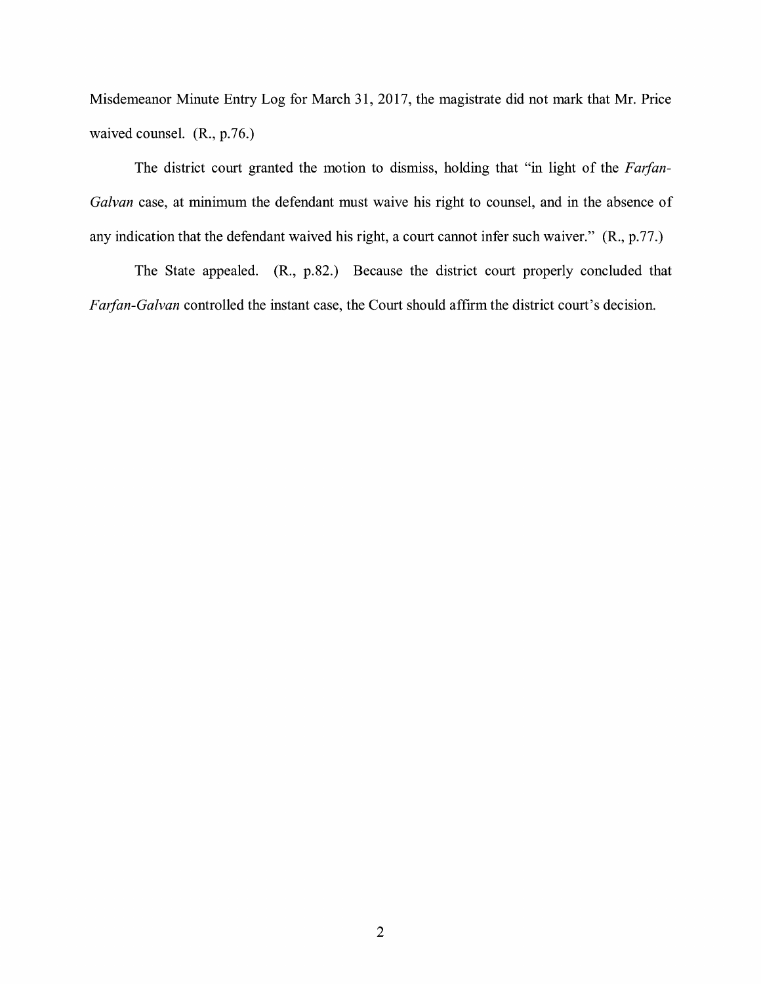Misdemeanor Minute Entry Log for March 31, 2017, the magistrate did not mark that Mr. Price waived counsel. **(R.,** p.76.)

The district court granted the motion to dismiss, holding that "in light of the *Farfan-Galvan* case, at minimum the defendant must waive his right to counsel, and in the absence of any indication that the defendant waived his right, a court cannot infer such waiver." **(R.,** p.77.)

The State appealed. (R., p.82.) Because the district court properly concluded that *Farfan-Galvan* controlled the instant case, the Court should affirm the district court's decision.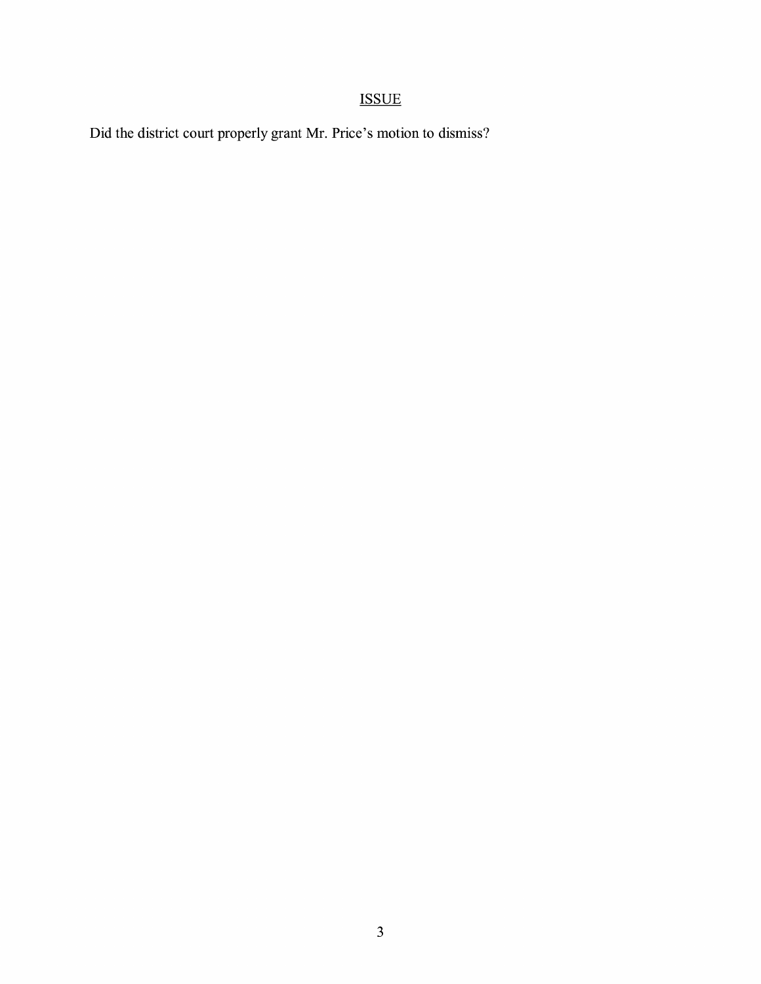# ISSUE

Did the district court properly grant Mr. Price's motion to dismiss?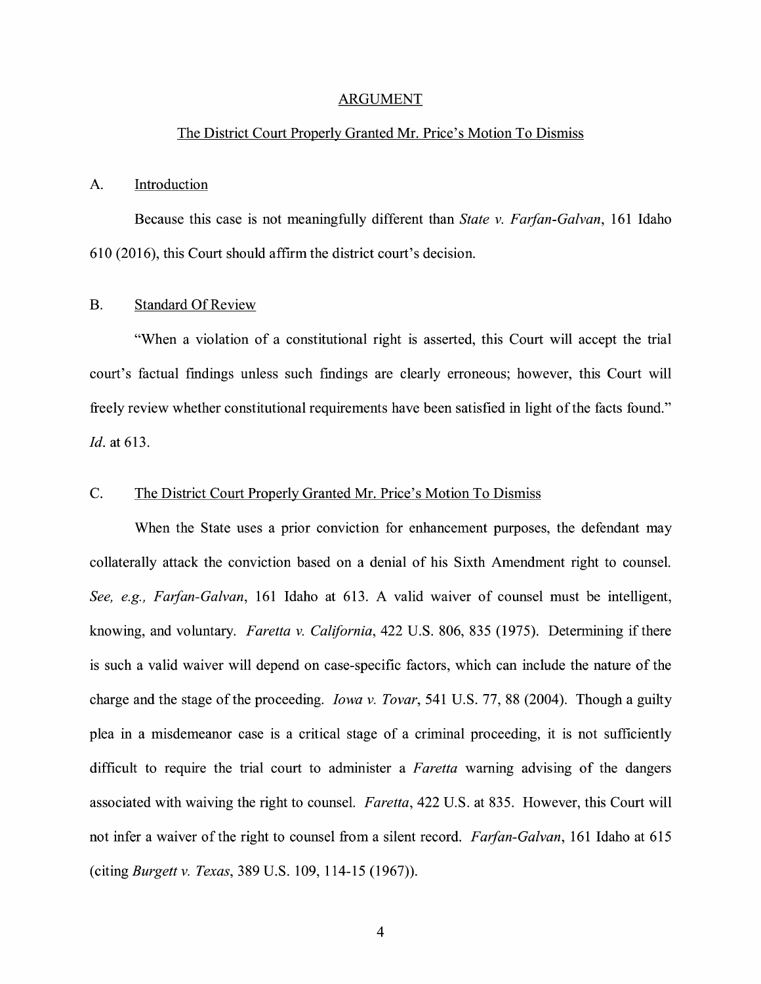#### ARGUMENT

#### The District Court Properly Granted Mr. Price's Motion To Dismiss

#### A. Introduction

Because this case is not meaningfully different than *State v. Farfan-Galvan,* 161 Idaho 610 (2016), this Court should affirm the district court's decision.

#### B. Standard Of Review

"When a violation of a constitutional right is asserted, this Court will accept the trial court's factual findings unless such findings are clearly erroneous; however, this Court will freely review whether constitutional requirements have been satisfied in light of the facts found." *Id.* at 613.

### C. The District Court Properly Granted Mr. Price's Motion To Dismiss

When the State uses a prior conviction for enhancement purposes, the defendant may collaterally attack the conviction based on a denial of his Sixth Amendment right to counsel. *See, e.g., Farfan-Galvan,* 161 Idaho at 613. A valid waiver of counsel must be intelligent, knowing, and voluntary. *Faretta v. California*, 422 U.S. 806, 835 (1975). Determining if there is such a valid waiver will depend on case-specific factors, which can include the nature of the charge and the stage of the proceeding. *Iowa v. Tovar,* 541 U.S. 77, 88 (2004). Though a guilty plea in a misdemeanor case is a critical stage of a criminal proceeding, it is not sufficiently difficult to require the trial court to administer a *Faretta* warning advising of the dangers associated with waiving the right to counsel. *Faretta,* 422 U.S. at 835. However, this Court will not infer a waiver of the right to counsel from a silent record. *Farfan-Galvan,* 161 Idaho at 615 (citing *Burgett v. Texas,* 389 U.S. 109, 114-15 (1967)).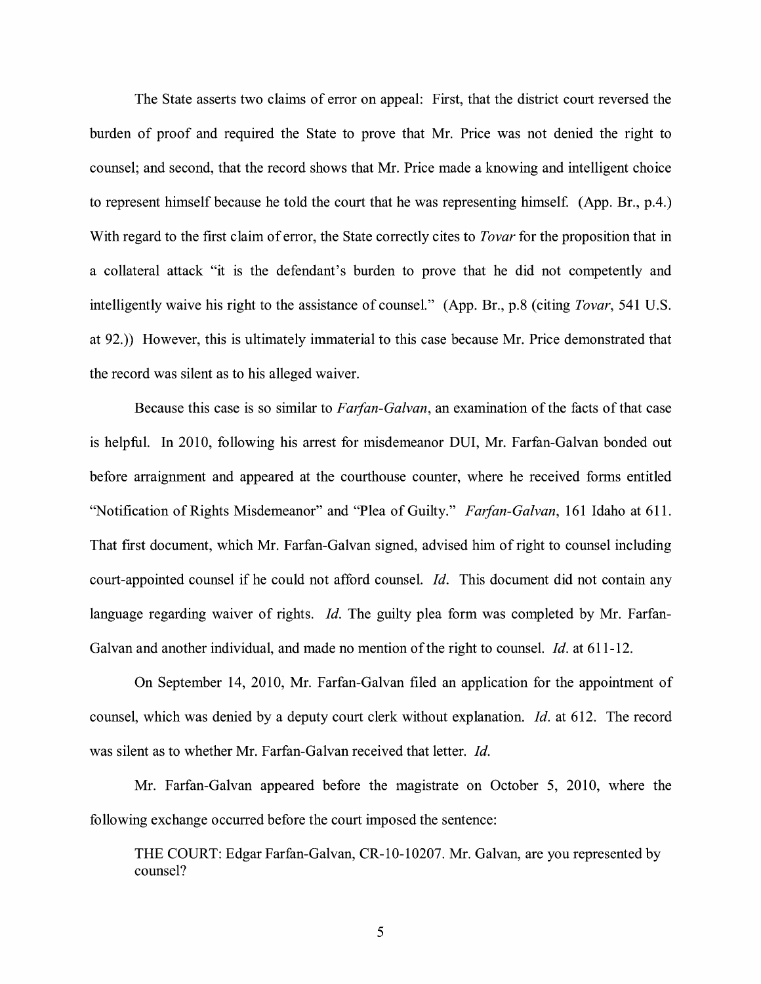The State asserts two claims of error on appeal: First, that the district court reversed the burden of proof and required the State to prove that Mr. Price was not denied the right to counsel; and second, that the record shows that Mr. Price made a knowing and intelligent choice to represent himself because he told the court that he was representing himself. (App. Br., p.4.) With regard to the first claim of error, the State correctly cites to *Tovar* for the proposition that in a collateral attack "it is the defendant's burden to prove that he did not competently and intelligently waive his right to the assistance of counsel." (App. Br., p.8 (citing *Tovar,* 541 U.S. at 92.)) However, this is ultimately immaterial to this case because Mr. Price demonstrated that the record was silent as to his alleged waiver.

Because this case is so similar to *Faifan-Galvan,* an examination of the facts of that case is helpful. In 2010, following his arrest for misdemeanor DUI, Mr. Farfan-Galvan bonded out before arraignment and appeared at the courthouse counter, where he received forms entitled "Notification of Rights Misdemeanor" and "Plea of Guilty." *Farfan-Galvan*, 161 Idaho at 611. That first document, which Mr. Farfan-Galvan signed, advised him of right to counsel including court-appointed counsel if he could not afford counsel. Id. This document did not contain any language regarding waiver of rights. *Id.* The guilty plea form was completed by Mr. Farfan-Galvan and another individual, and made no mention of the right to counsel. *Id.* at 611-12.

On September 14, 2010, Mr. Farfan-Galvan filed an application for the appointment of counsel, which was denied by a deputy court clerk without explanation. *Id.* at 612. The record was silent as to whether Mr. Farfan-Galvan received that letter. *Id.* 

Mr. Farfan-Galvan appeared before the magistrate on October 5, 2010, where the following exchange occurred before the court imposed the sentence:

THE COURT: Edgar Farfan-Galvan, CR-10-10207. Mr. Galvan, are you represented by counsel?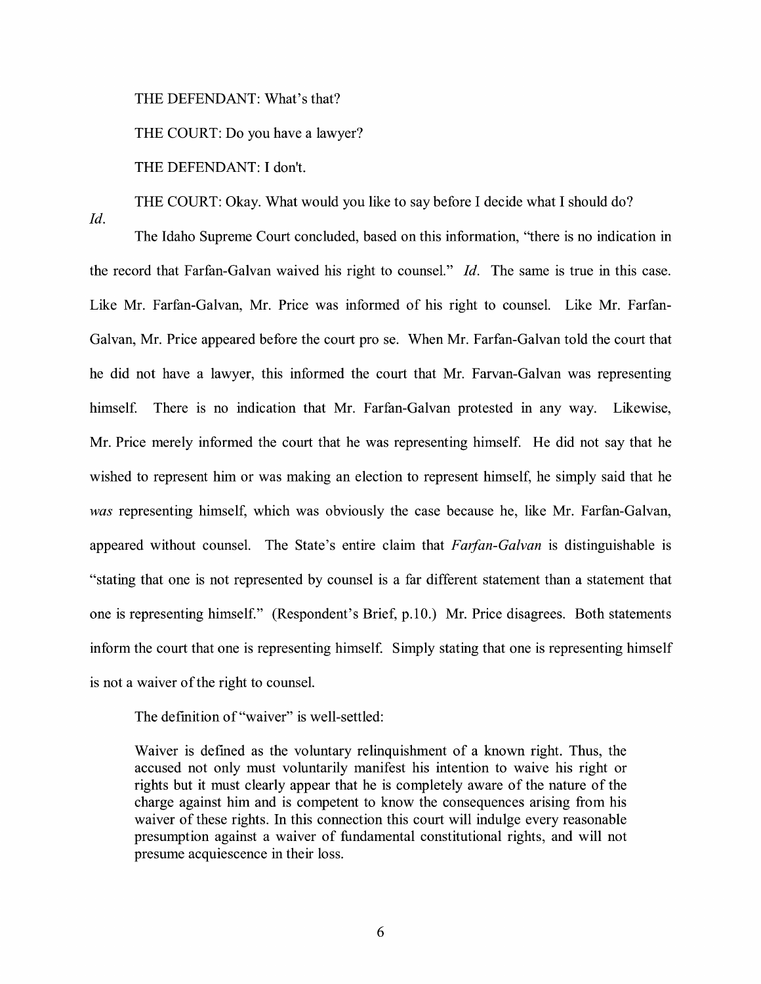THE DEFENDANT: What's that?

THE COURT: Do you have a lawyer?

THE DEFENDANT: I don't.

THE COURT: Okay. What would you like to say before I decide what I should do?

*Id.* 

The Idaho Supreme Court concluded, based on this information, "there is no indication in the record that Farfan-Galvan waived his right to counsel." *Id.* The same is true in this case. Like Mr. Farfan-Galvan, Mr. Price was informed of his right to counsel. Like Mr. Farfan-Galvan, Mr. Price appeared before the court pro se. When Mr. Farfan-Galvan told the court that he did not have a lawyer, this informed the court that Mr. Farvan-Galvan was representing himself. There is no indication that Mr. Farfan-Galvan protested in any way. Likewise, Mr. Price merely informed the court that he was representing himself. He did not say that he wished to represent him or was making an election to represent himself, he simply said that he *was* representing himself, which was obviously the case because he, like Mr. Farfan-Galvan, appeared without counsel. The State's entire claim that *Farfan-Galvan* is distinguishable is "stating that one is not represented by counsel is a far different statement than a statement that one is representing himself." (Respondent's Brief, p.10.) Mr. Price disagrees. Both statements inform the court that one is representing himself. Simply stating that one is representing himself is not a waiver of the right to counsel.

The definition of "waiver" is well-settled:

Waiver is defined as the voluntary relinquishment of a known right. Thus, the accused not only must voluntarily manifest his intention to waive his right or rights but it must clearly appear that he is completely aware of the nature of the charge against him and is competent to know the consequences arising from his waiver of these rights. In this connection this court will indulge every reasonable presumption against a waiver of fundamental constitutional rights, and will not presume acquiescence in their loss.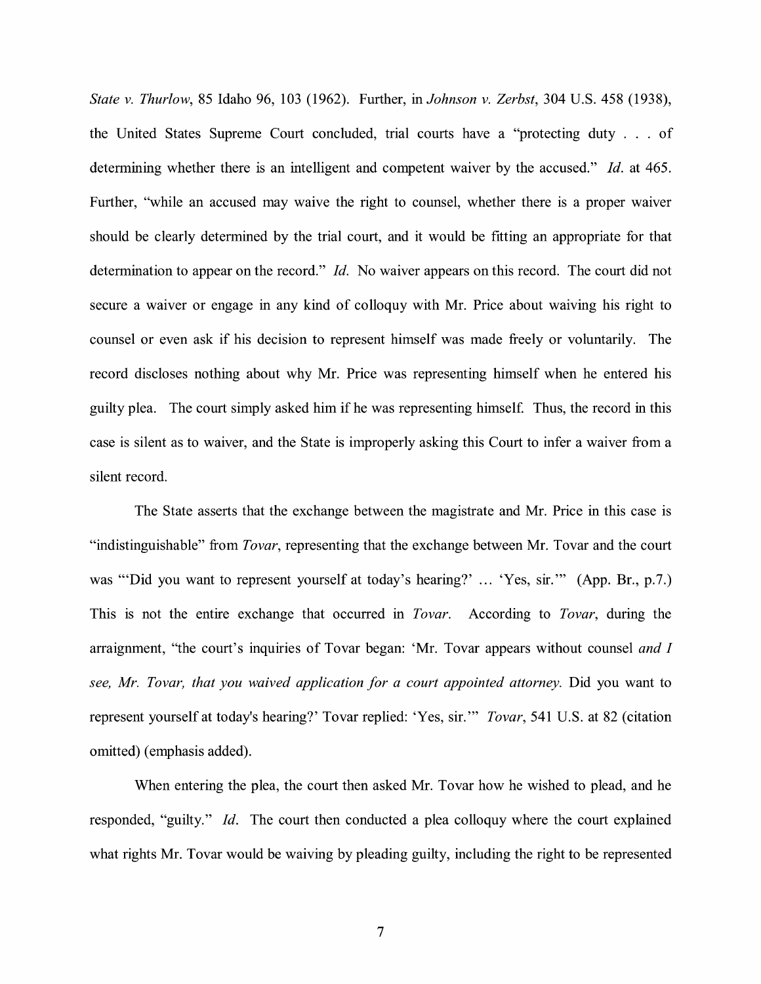*State v. Thurlow,* 85 Idaho 96, 103 (1962). Further, in *Johnson v. Zerbst,* 304 U.S. 458 (1938), the United States Supreme Court concluded, trial courts have a "protecting duty ... of determining whether there is an intelligent and competent waiver by the accused." Id. at 465. Further, "while an accused may waive the right to counsel, whether there is a proper waiver should be clearly determined by the trial court, and it would be fitting an appropriate for that determination to appear on the record." *Id.* No waiver appears on this record. The court did not secure a waiver or engage in any kind of colloquy with Mr. Price about waiving his right to counsel or even ask if his decision to represent himself was made freely or voluntarily. The record discloses nothing about why Mr. Price was representing himself when he entered his guilty plea. The court simply asked him if he was representing himself. Thus, the record in this case is silent as to waiver, and the State is improperly asking this Court to infer a waiver from a silent record.

The State asserts that the exchange between the magistrate and Mr. Price in this case is "indistinguishable" from *Tovar,* representing that the exchange between Mr. Tovar and the court was "Did you want to represent yourself at today's hearing?' ... 'Yes, sir.'" (App. Br., p.7.) This is not the entire exchange that occurred in *Tovar.* According to *Tovar,* during the arraignment, "the court's inquiries of Tovar began: 'Mr. Tovar appears without counsel *and I see, Mr. Tovar, that you waived application for a court appointed attorney.* Did you want to represent yourself at today's hearing?' Tovar replied: 'Yes, sir."' *Tovar,* 541 U.S. at 82 ( citation omitted) ( emphasis added).

When entering the plea, the court then asked Mr. Tovar how he wished to plead, and he responded, "guilty." Id. The court then conducted a plea colloquy where the court explained what rights Mr. Tovar would be waiving by pleading guilty, including the right to be represented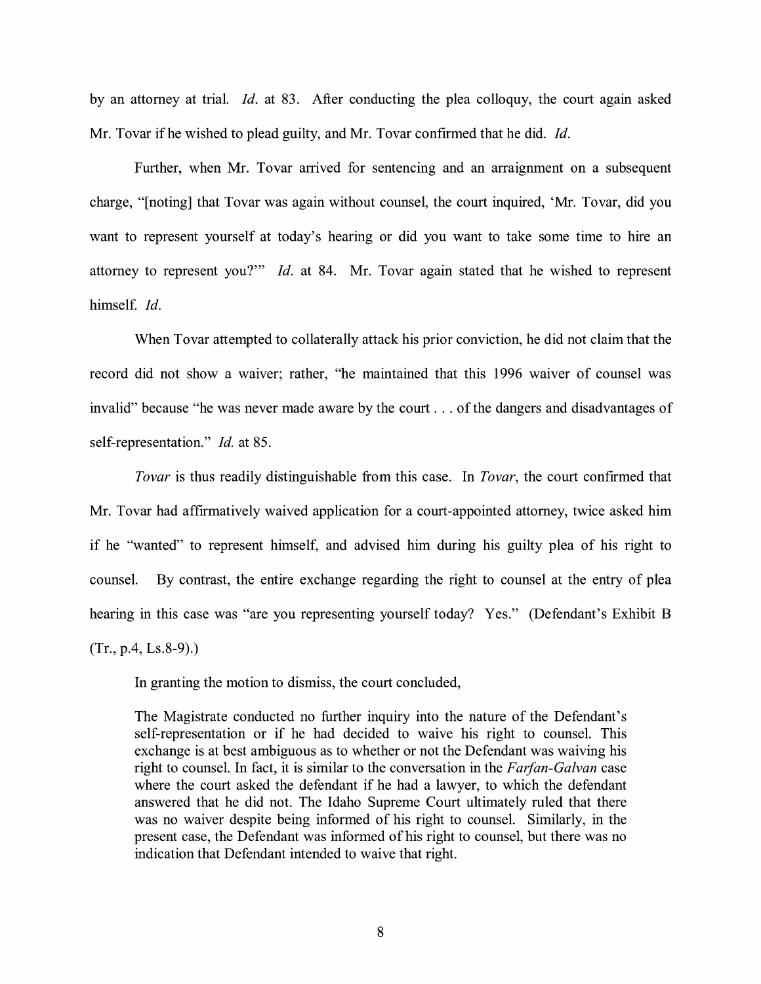by an attorney at trial. *Id.* at 83. After conducting the plea colloquy, the court again asked Mr. Tovar ifhe wished to plead guilty, and Mr. Tovar confirmed that he did. *Id.* 

Further, when Mr. Tovar arrived for sentencing and an arraignment on a subsequent charge, "[noting] that Tovar was again without counsel, the court inquired, 'Mr. Tovar, did you want to represent yourself at today's hearing or did you want to take some time to hire an attorney to represent you?"' *Id.* at 84. Mr. Tovar again stated that he wished to represent himself. *Id.* 

When Tovar attempted to collaterally attack his prior conviction, he did not claim that the record did not show a waiver; rather, "he maintained that this 1996 waiver of counsel was invalid" because "he was never made aware by the court ... of the dangers and disadvantages of self-representation." *Id.* at 85.

*Tovar* is thus readily distinguishable from this case. In *Tovar,* the court confirmed that Mr. Tovar had affirmatively waived application for a court-appointed attorney, twice asked him if he "wanted" to represent himself, and advised him during his guilty plea of his right to counsel. By contrast, the entire exchange regarding the right to counsel at the entry of plea hearing in this case was "are you representing yourself today? Yes." (Defendant's Exhibit B  $(Tr., p.4, Ls.8-9).$ 

In granting the motion to dismiss, the court concluded,

The Magistrate conducted no further inquiry into the nature of the Defendant's self-representation or if he had decided to waive his right to counsel. This exchange is at best ambiguous as to whether or not the Defendant was waiving his right to counsel. In fact, it is similar to the conversation in the *Farfan-Galvan* case where the court asked the defendant if he had a lawyer, to which the defendant answered that he did not. The Idaho Supreme Court ultimately ruled that there was no waiver despite being informed of his right to counsel. Similarly, in the present case, the Defendant was informed of his right to counsel, but there was no indication that Defendant intended to waive that right.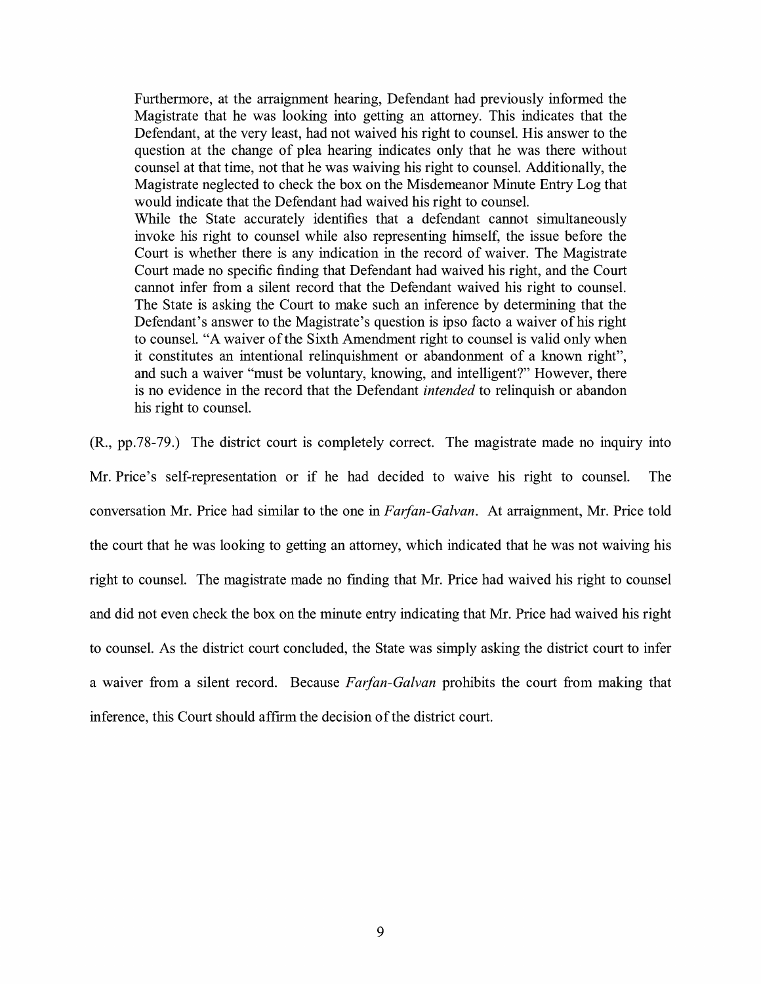Furthermore, at the arraignment hearing, Defendant had previously informed the Magistrate that he was looking into getting an attorney. This indicates that the Defendant, at the very least, had not waived his right to counsel. His answer to the question at the change of plea hearing indicates only that he was there without counsel at that time, not that he was waiving his right to counsel. Additionally, the Magistrate neglected to check the box on the Misdemeanor Minute Entry Log that would indicate that the Defendant had waived his right to counsel.

While the State accurately identifies that a defendant cannot simultaneously invoke his right to counsel while also representing himself, the issue before the Court is whether there is any indication in the record of waiver. The Magistrate Court made no specific finding that Defendant had waived his right, and the Court cannot infer from a silent record that the Defendant waived his right to counsel. The State is asking the Court to make such an inference by determining that the Defendant's answer to the Magistrate's question is ipso facto a waiver of his right to counsel. "A waiver of the Sixth Amendment right to counsel is valid only when it constitutes an intentional relinquishment or abandonment of a known right", and such a waiver "must be voluntary, knowing, and intelligent?" However, there is no evidence in the record that the Defendant *intended* to relinquish or abandon his right to counsel.

(R., pp.78-79.) The district court is completely correct. The magistrate made no inquiry into

Mr. Price's self-representation or if he had decided to waive his right to counsel. The conversation Mr. Price had similar to the one in *Farfan-Galvan.* At arraignment, Mr. Price told the court that he was looking to getting an attorney, which indicated that he was not waiving his right to counsel. The magistrate made no finding that Mr. Price had waived his right to counsel and did not even check the box on the minute entry indicating that Mr. Price had waived his right to counsel. As the district court concluded, the State was simply asking the district court to infer a waiver from a silent record. Because *Farfan-Galvan* prohibits the court from making that inference, this Court should affirm the decision of the district court.